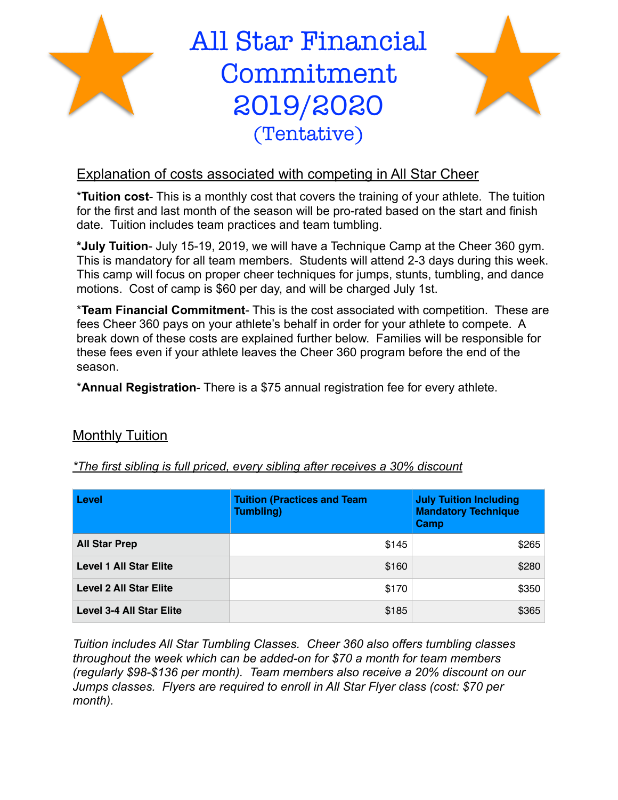

All Star Financial Commitment 2019/2020 (Tentative)



## Explanation of costs associated with competing in All Star Cheer

\***Tuition cost**- This is a monthly cost that covers the training of your athlete. The tuition for the first and last month of the season will be pro-rated based on the start and finish date. Tuition includes team practices and team tumbling.

**\*July Tuition**- July 15-19, 2019, we will have a Technique Camp at the Cheer 360 gym. This is mandatory for all team members. Students will attend 2-3 days during this week. This camp will focus on proper cheer techniques for jumps, stunts, tumbling, and dance motions. Cost of camp is \$60 per day, and will be charged July 1st.

\***Team Financial Commitment**- This is the cost associated with competition. These are fees Cheer 360 pays on your athlete's behalf in order for your athlete to compete. A break down of these costs are explained further below. Families will be responsible for these fees even if your athlete leaves the Cheer 360 program before the end of the season.

\***Annual Registration**- There is a \$75 annual registration fee for every athlete.

## Monthly Tuition

*\*The first sibling is full priced, every sibling after receives a 30% discount*

| <b>Level</b>                    | <b>Tuition (Practices and Team</b><br><b>Tumbling)</b> | <b>July Tuition Including</b><br><b>Mandatory Technique</b><br>Camp |
|---------------------------------|--------------------------------------------------------|---------------------------------------------------------------------|
| <b>All Star Prep</b>            | \$145                                                  | \$265                                                               |
| <b>Level 1 All Star Elite</b>   | \$160                                                  | \$280                                                               |
| <b>Level 2 All Star Elite</b>   | \$170                                                  | \$350                                                               |
| <b>Level 3-4 All Star Elite</b> | \$185                                                  | \$365                                                               |

*Tuition includes All Star Tumbling Classes. Cheer 360 also offers tumbling classes throughout the week which can be added-on for \$70 a month for team members (regularly \$98-\$136 per month). Team members also receive a 20% discount on our Jumps classes. Flyers are required to enroll in All Star Flyer class (cost: \$70 per month).*